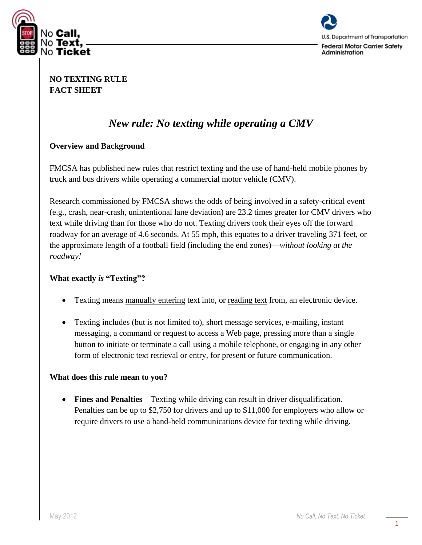



### **NO TEXTING RULE FACT SHEET**

# *New rule: No texting while operating a CMV*

#### **Overview and Background**

FMCSA has published new rules that restrict texting and the use of hand-held mobile phones by truck and bus drivers while operating a commercial motor vehicle (CMV).

Research commissioned by FMCSA shows the odds of being involved in a safety-critical event (e.g., crash, near-crash, unintentional lane deviation) are 23.2 times greater for CMV drivers who text while driving than for those who do not. Texting drivers took their eyes off the forward roadway for an average of 4.6 seconds. At 55 mph, this equates to a driver traveling 371 feet, or the approximate length of a football field (including the end zones)—*without looking at the roadway!*

#### **What exactly** *is* **"Texting"?**

- Texting means manually entering text into, or reading text from, an electronic device.
- Texting includes (but is not limited to), short message services, e-mailing, instant messaging, a command or request to access a Web page, pressing more than a single button to initiate or terminate a call using a mobile telephone, or engaging in any other form of electronic text retrieval or entry, for present or future communication.

#### **What does this rule mean to you?**

 **Fines and Penalties** – Texting while driving can result in driver disqualification. Penalties can be up to \$2,750 for drivers and up to \$11,000 for employers who allow or require drivers to use a hand-held communications device for texting while driving.